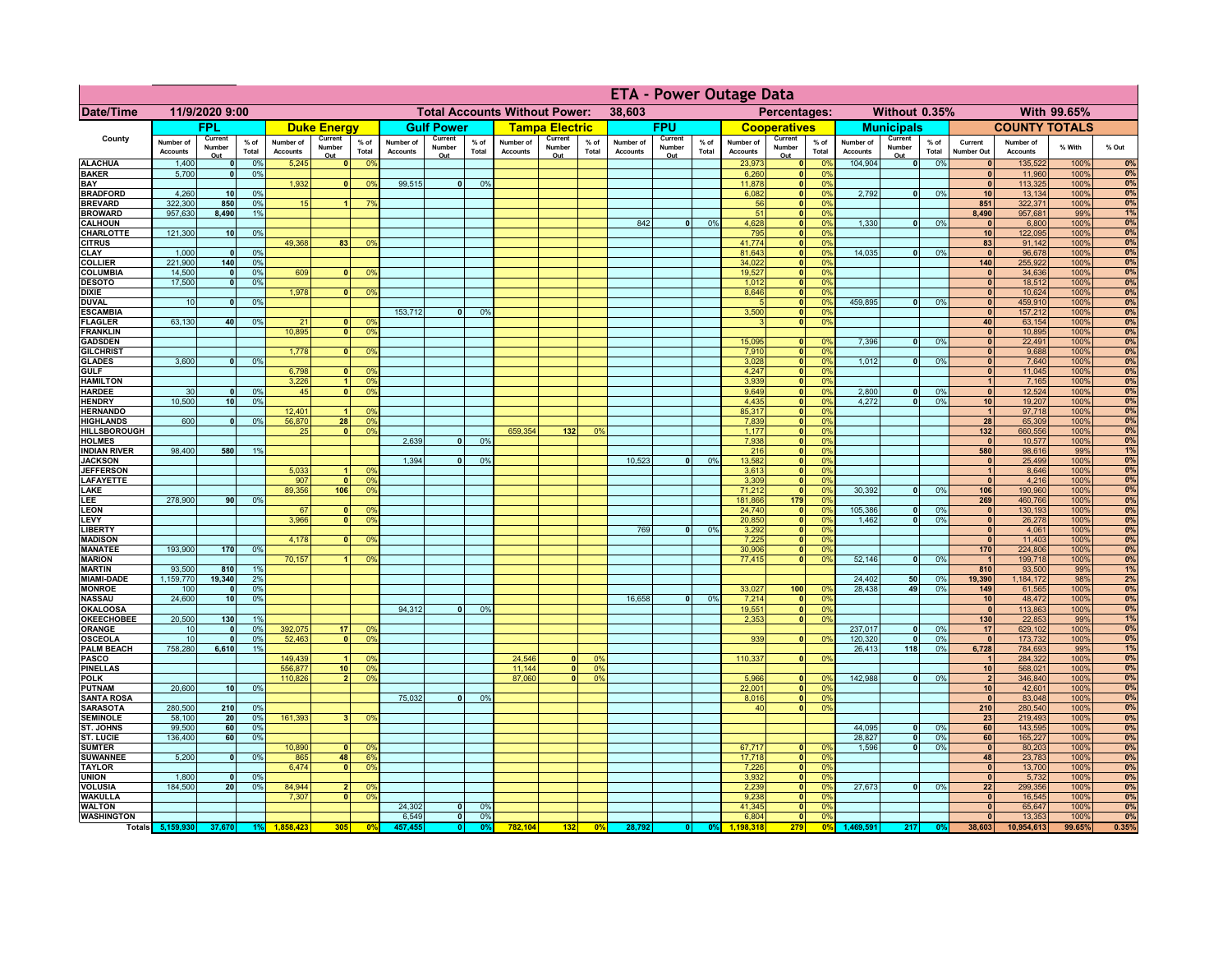|                                      |                              |                             |                 |                              |                          |                                                                |                              |                               |                 | <b>ETA - Power Outage Data</b> |                              |                |                              |                          |                 |                              |                                |                       |                              |                          |                 |                       |                              |                |             |
|--------------------------------------|------------------------------|-----------------------------|-----------------|------------------------------|--------------------------|----------------------------------------------------------------|------------------------------|-------------------------------|-----------------|--------------------------------|------------------------------|----------------|------------------------------|--------------------------|-----------------|------------------------------|--------------------------------|-----------------------|------------------------------|--------------------------|-----------------|-----------------------|------------------------------|----------------|-------------|
| <b>Date/Time</b>                     | 11/9/2020 9:00               |                             |                 |                              |                          | <b>Total Accounts Without Power:</b><br>38,603<br>Percentages: |                              |                               |                 |                                | Without 0.35%<br>With 99.65% |                |                              |                          |                 |                              |                                |                       |                              |                          |                 |                       |                              |                |             |
|                                      |                              | <b>FPL</b>                  |                 |                              | <b>Duke Energy</b>       |                                                                |                              | <b>Gulf Power</b>             |                 |                                | <b>Tampa Electric</b>        |                |                              | <b>FPU</b>               |                 |                              | <b>Cooperatives</b>            |                       |                              | <b>Municipals</b>        |                 |                       | <b>COUNTY TOTALS</b>         |                |             |
| County                               | Number of<br><b>Accounts</b> | Current<br>Number<br>Out    | $%$ of<br>Total | Number of<br><b>Accounts</b> | Current<br>Number<br>Out | $%$ of<br>Total                                                | Number of<br><b>Accounts</b> | Current<br>Number<br>Out      | $%$ of<br>Total | Number of<br><b>Accounts</b>   | Current<br>Number<br>Out     | % of<br>Total  | Number of<br><b>Accounts</b> | Current<br>Number<br>Out | $%$ of<br>Total | Number of<br><b>Accounts</b> | Current<br>Number<br>Out       | $%$ of<br>Total       | Number of<br><b>Accounts</b> | Current<br>Number<br>Out | $%$ of<br>Total | Current<br>Number Out | Number of<br><b>Accounts</b> | % With         | % Out       |
| <b>ALACHUA</b>                       | 1,400                        | $\mathbf{0}$                | 0%              | 5,245                        | $\mathbf{0}$             | 0%                                                             |                              |                               |                 |                                |                              |                |                              |                          |                 | 23,973                       | 0                              | 0%                    | 104,904                      | 0                        | 0%              | $\mathbf{0}$          | 135,522                      | 100%           | 0%          |
| <b>BAKER</b><br>BAY                  | 5,700                        | $\mathbf{0}$                | 0%              | 1,932                        | $\mathbf{0}$             | 0%                                                             | 99,515                       | $\overline{0}$                | 0%              |                                |                              |                |                              |                          |                 | 6,260<br>11.878              | 0 <br> 0                       | 0%<br>0%              |                              |                          |                 | $\mathbf{0}$<br> 0    | 11,960<br>113,325            | 100%<br>100%   | 0%<br>0%    |
| <b>BRADFORD</b>                      | 4,260                        | 10                          | 0%              |                              |                          |                                                                |                              |                               |                 |                                |                              |                |                              |                          |                 | 6,082                        | 0                              | 0%                    | 2,792                        | $\overline{0}$           | 0%              | 10                    | 13,134                       | 100%           | 0%          |
| <b>BREVARD</b>                       | 322,300                      | 850                         | 0%              | 15                           |                          | 7 <sup>0</sup>                                                 |                              |                               |                 |                                |                              |                |                              |                          |                 | 56                           | $\mathbf{0}$                   | 0%                    |                              |                          |                 | 851                   | 322,371                      | 100%           | 0%          |
| <b>BROWARD</b>                       | 957,630                      | 8,490                       | 1%              |                              |                          |                                                                |                              |                               |                 |                                |                              |                |                              |                          |                 | 51                           | $\mathbf{0}$                   | 0%                    |                              | -ol                      |                 | 8,490                 | 957,681                      | 99%            | 1%          |
| <b>CALHOUN</b><br>CHARLOTTE          | 121,300                      | 10                          | 0%              |                              |                          |                                                                |                              |                               |                 |                                |                              |                | 842                          | $\bullet$                | 0%              | 4,628<br>795                 | $\mathbf{0}$<br>$\mathbf{0}$   | 0%<br>0%              | 1,330                        |                          | 0%              | $\mathbf{0}$<br>10    | 6,800<br>122,095             | 100%<br>100%   | 0%<br>0%    |
| <b>CITRUS</b>                        |                              |                             |                 | 49,368                       | 83                       | 0 <sup>9</sup>                                                 |                              |                               |                 |                                |                              |                |                              |                          |                 | 41,774                       | 0                              | 0%                    |                              |                          |                 | 83                    | 91,142                       | 100%           | 0%          |
| <b>CLAY</b><br><b>COLLIER</b>        | 1,000                        | $\mathbf{0}$<br>140         | 0%<br>0%        |                              |                          |                                                                |                              |                               |                 |                                |                              |                |                              |                          |                 | 81,643<br>34,022             | 0 <br> 0                       | 0%<br>0%              | 14,035                       | 0                        | 0%              | $\mathbf{0}$<br>140   | 96,678                       | 100%<br>100%   | 0%          |
| <b>COLUMBIA</b>                      | 221,900<br>14,500            | 0                           | 0%              | 609                          | $\Omega$                 | 0 <sup>9</sup>                                                 |                              |                               |                 |                                |                              |                |                              |                          |                 | 19,527                       | 0                              | 0%                    |                              |                          |                 | $\mathbf{0}$          | 255,922<br>34,636            | 100%           | 0%<br>0%    |
| <b>DESOTO</b>                        | 17,500                       | 0                           | 0%              |                              |                          |                                                                |                              |                               |                 |                                |                              |                |                              |                          |                 | 1,012                        | 0                              | 0%                    |                              |                          |                 | 0                     | 18,512                       | 100%           | 0%          |
| <b>DIXIE</b>                         |                              |                             |                 | 1,978                        | $\Omega$                 | 0%                                                             |                              |                               |                 |                                |                              |                |                              |                          |                 | 8,646                        | $\overline{\bullet}$           | 0%                    |                              |                          |                 | 0                     | 10,624                       | 100%           | 0%          |
| <b>DUVAL</b><br><b>ESCAMBIA</b>      | 10                           | $\mathbf{0}$                | 0%              |                              |                          |                                                                | 153,712                      | 0                             | 0 <sup>9</sup>  |                                |                              |                |                              |                          |                 | $\sqrt{2}$<br>3,500          | 0 <br> 0                       | 0%<br>0%              | 459.895                      | $\overline{0}$           | 0%              | 0 <br> 0              | 459,910<br>157,212           | 100%<br>100%   | 0%<br>0%    |
| <b>FLAGLER</b>                       | 63,130                       | 40                          | 0%              | 21                           | $\mathbf{0}$             | 0 <sup>9</sup>                                                 |                              |                               |                 |                                |                              |                |                              |                          |                 | $\mathbf{R}$                 | 0                              | 0%                    |                              |                          |                 | 40                    | 63,154                       | 100%           | 0%          |
| <b>FRANKLIN</b>                      |                              |                             |                 | 10,895                       | $\mathbf{0}$             | 0 <sup>9</sup>                                                 |                              |                               |                 |                                |                              |                |                              |                          |                 |                              |                                |                       |                              |                          |                 | $\mathbf{0}$          | 10,895                       | 100%           | 0%          |
| <b>GADSDEN</b>                       |                              |                             |                 | 1,778                        | $\mathbf{0}$             | 0 <sup>9</sup>                                                 |                              |                               |                 |                                |                              |                |                              |                          |                 | 15,095<br>7,910              | 0 <br> 0                       | 0%<br>0%              | 7,396                        | $\overline{0}$           | 0%              | 0 <br> 0              | 22,491<br>9,688              | 100%<br>100%   | 0%<br>0%    |
| <b>GILCHRIST</b><br><b>GLADES</b>    | 3,600                        | $\mathbf{0}$                | 0%              |                              |                          |                                                                |                              |                               |                 |                                |                              |                |                              |                          |                 | 3,028                        | 0                              | 0%                    | 1,012                        | $\overline{0}$           | 0%              | 0                     | 7,640                        | 100%           | 0%          |
| <b>GULF</b>                          |                              |                             |                 | 6,798                        | n١                       | 0 <sup>9</sup>                                                 |                              |                               |                 |                                |                              |                |                              |                          |                 | 4,247                        | 0                              | 0%                    |                              |                          |                 | 0                     | 11,045                       | 100%           | 0%          |
| <b>HAMILTON</b>                      |                              |                             |                 | 3,226                        | $\overline{1}$           | 0 <sup>9</sup>                                                 |                              |                               |                 |                                |                              |                |                              |                          |                 | 3,939                        | 0                              | 0%                    |                              |                          |                 | 1                     | 7,165                        | 100%           | 0%          |
| <b>HARDEE</b><br><b>HENDRY</b>       | 30<br>10,500                 | $\Omega$<br>10 <sup>1</sup> | 0%<br>0%        | 45                           | $\mathbf{0}$             | 0 <sup>9</sup>                                                 |                              |                               |                 |                                |                              |                |                              |                          |                 | 9,649<br>4,435               | 0 <br> 0                       | 0%<br>0%              | 2.800<br>4,272               | $\mathbf{0}$<br>$\Omega$ | 0%<br>0%        | $\Omega$<br>10        | 12,524<br>19,207             | 100%<br>100%   | 0%<br>0%    |
| <b>HERNANDO</b>                      |                              |                             |                 | 12,401                       |                          | 0 <sup>9</sup>                                                 |                              |                               |                 |                                |                              |                |                              |                          |                 | 85,317                       | 0                              | 0%                    |                              |                          |                 | $\vert$ 1             | 97,718                       | 100%           | 0%          |
| <b>HIGHLANDS</b>                     | 600                          | $\mathbf{0}$                | 0%              | 56,870                       | 28                       | 0 <sup>9</sup>                                                 |                              |                               |                 |                                |                              |                |                              |                          |                 | 7,839                        | 0                              | 0%                    |                              |                          |                 | 28                    | 65,309                       | 100%           | 0%          |
| HILLSBOROUGH<br><b>HOLMES</b>        |                              |                             |                 | 25                           | 0                        | 0 <sup>9</sup>                                                 | 2,639                        |                               | 0%              | 659,354                        | 132                          | 0 <sup>9</sup> |                              |                          |                 | 1,177<br>7,938               | 0 <br> 0                       | 0%<br>0%              |                              |                          |                 | 132<br>$\mathbf{0}$   | 660,556<br>10,577            | 100%<br>100%   | 0%<br>0%    |
| <b>INDIAN RIVER</b>                  | 98,400                       | 580                         | 1%              |                              |                          |                                                                |                              |                               |                 |                                |                              |                |                              |                          |                 | 216                          | $\mathbf{0}$                   | 0%                    |                              |                          |                 | 580                   | 98,616                       | 99%            | 1%          |
| <b>JACKSON</b>                       |                              |                             |                 |                              |                          |                                                                | 1,394                        |                               | 0%              |                                |                              |                | 10,523                       | $\Omega$                 | 0%              | 13,582                       | $\mathbf{0}$                   | 0%                    |                              |                          |                 | 0                     | 25,499                       | 100%           | 0%          |
| <b>JEFFERSON</b>                     |                              |                             |                 | 5,033<br>907                 | $\Omega$                 | 0 <sup>9</sup><br>0 <sup>9</sup>                               |                              |                               |                 |                                |                              |                |                              |                          |                 | 3,613                        | $\mathbf{0}$<br>$\mathbf{0}$   | 0%                    |                              |                          |                 | 1<br> 0               | 8,646                        | 100%           | 0%          |
| <b>LAFAYETTE</b><br>LAKE             |                              |                             |                 | 89,356                       | 106                      | 0 <sup>9</sup>                                                 |                              |                               |                 |                                |                              |                |                              |                          |                 | 3,309<br>71,212              | $\mathbf{0}$                   | 0%<br>0%              | 30,392                       | $\overline{0}$           | 0%              | 106                   | 4,216<br>190,960             | 100%<br>100%   | 0%<br>0%    |
| LEE                                  | 278,900                      | 90 <sub>1</sub>             | 0%              |                              |                          |                                                                |                              |                               |                 |                                |                              |                |                              |                          |                 | 181,866                      | 179                            | 0%                    |                              |                          |                 | 269                   | 460,766                      | 100%           | 0%          |
| <b>LEON</b>                          |                              |                             |                 | 67                           | $\Omega$                 | 0 <sup>9</sup>                                                 |                              |                               |                 |                                |                              |                |                              |                          |                 | 24,740                       | 0                              | 0%                    | 105,386                      | 0                        | 0%              | 0                     | 130,193                      | 100%           | 0%          |
| LEVY<br><b>LIBERTY</b>               |                              |                             |                 | 3,966                        | $\Omega$                 | 0 <sup>9</sup>                                                 |                              |                               |                 |                                |                              |                | 769                          | 0                        | 0%              | 20,850<br>3,292              | 0 <br> 0                       | 0%<br>0%              | 1,462                        | 0                        | 0%              | 0 <br> 0              | 26,278<br>4,061              | 100%<br>100%   | 0%<br>0%    |
| <b>MADISON</b>                       |                              |                             |                 | 4,178                        | $\Omega$                 | 0%                                                             |                              |                               |                 |                                |                              |                |                              |                          |                 | 7,225                        | 0                              | 0%                    |                              |                          |                 | 0                     | 11,403                       | 100%           | 0%          |
| <b>MANATEE</b>                       | 193,900                      | 170                         | 0%              |                              |                          |                                                                |                              |                               |                 |                                |                              |                |                              |                          |                 | 30,906                       | 0                              | 0%                    |                              |                          |                 | 170                   | 224,806                      | 100%           | 0%          |
| <b>MARION</b><br><b>MARTIN</b>       | 93,500                       | 810                         | 1%              | 70,157                       | 11                       | 0%                                                             |                              |                               |                 |                                |                              |                |                              |                          |                 | 77,415                       | 0                              | 0%                    | 52,146                       | -ol                      | 0%              | $\vert$ 1<br>810      | 199,718<br>93,500            | 100%<br>99%    | 0%<br>1%    |
| <b>MIAMI-DADE</b>                    | 1,159,770                    | 19,340                      | 2%              |                              |                          |                                                                |                              |                               |                 |                                |                              |                |                              |                          |                 |                              |                                |                       | 24,402                       | 50                       | 0%              | 19,390                | 1,184,172                    | 98%            | 2%          |
| <b>MONROE</b>                        | 100                          | $\mathbf{0}$                | 0%              |                              |                          |                                                                |                              |                               |                 |                                |                              |                |                              |                          |                 | 33,027                       | 100                            | $\Omega$ <sup>9</sup> | 28,438                       | 49                       | 0%              | 149                   | 61,565                       | 100%           | 0%          |
| <b>NASSAU</b>                        | 24,600                       | 10                          | 0%              |                              |                          |                                                                | 94,312                       |                               | 0%              |                                |                              |                | 16,658                       | 0                        | 0%              | 7,214<br>19,551              | 0                              | 0%<br>0%              |                              |                          |                 | 10                    | 48,472                       | 100%           | 0%<br>0%    |
| <b>OKALOOSA</b><br><b>OKEECHOBEE</b> | 20,500                       | 130                         | 1%              |                              |                          |                                                                |                              | 0                             |                 |                                |                              |                |                              |                          |                 | 2,353                        | 0 <br> 0                       | 0%                    |                              |                          |                 | 0 <br>$130$           | 113,863<br>22,853            | 100%<br>99%    | 1%          |
| <b>ORANGE</b>                        | 10                           | 0                           | 0%              | 392,075                      | 17 <sup>1</sup>          | 0 <sup>9</sup>                                                 |                              |                               |                 |                                |                              |                |                              |                          |                 |                              |                                |                       | 237,017                      | $\mathbf{0}$             | 0%              | 17                    | 629,102                      | 100%           | 0%          |
| <b>OSCEOLA</b>                       | 10                           | $\mathbf{0}$                | 0%              | 52,463                       | $\mathbf{0}$             | 0 <sup>9</sup>                                                 |                              |                               |                 |                                |                              |                |                              |                          |                 | 939                          | 0                              | 0%                    | 120,320                      | $\overline{\mathbf{0}}$  | 0%              | 0                     | 173,732                      | 100%           | 0%<br>1%    |
| <b>PALM BEACH</b><br><b>PASCO</b>    | 758,280                      | 6,610                       | 1%              | 149,439                      | 1                        | 0 <sup>9</sup>                                                 |                              |                               |                 | 24,546                         | $\Omega$                     | $\Omega$       |                              |                          |                 | 110,337                      | 0                              | 0%                    | 26,413                       | $118$                    | 0%              | 6,728<br>$\mathbf{1}$ | 784,693<br>284,322           | 99%<br>100%    | 0%          |
| <b>PINELLAS</b>                      |                              |                             |                 | 556,877                      | 10                       | 0 <sup>9</sup>                                                 |                              |                               |                 | 11,144                         | 0                            | 0 <sup>9</sup> |                              |                          |                 |                              |                                |                       |                              |                          |                 | 10                    | 568,021                      | 100%           | 0%          |
| <b>POLK</b>                          |                              |                             |                 | 110,826                      | 2 <sub>1</sub>           | 0 <sup>9</sup>                                                 |                              |                               |                 | 87,060                         | $\mathbf{a}$                 | 0 <sup>9</sup> |                              |                          |                 | 5,966                        | 0                              | $\Omega$ <sup>o</sup> | 142,988                      | 0                        | 0%              | $\vert$ 2             | 346,840                      | 100%           | 0%          |
| <b>PUTNAM</b><br><b>SANTA ROSA</b>   | 20,600                       | 10                          | 0%              |                              |                          |                                                                | 75,032                       | $\mathbf{0}$                  | 0%              |                                |                              |                |                              |                          |                 | 22,001<br>8,016              | 0 <br> 0                       | 0%<br>0%              |                              |                          |                 | 10<br> 0              | 42,601<br>83,048             | 100%<br>100%   | 0%<br>0%    |
| <b>SARASOTA</b>                      | 280,500                      | 210                         | 0%              |                              |                          |                                                                |                              |                               |                 |                                |                              |                |                              |                          |                 | 40                           | 0                              | 0%                    |                              |                          |                 | 210                   | 280,540                      | 100%           | 0%          |
| <b>SEMINOLE</b>                      | 58,100                       | 20                          | 0%              | 161,393                      |                          | 0 <sup>9</sup>                                                 |                              |                               |                 |                                |                              |                |                              |                          |                 |                              |                                |                       |                              |                          |                 | 23                    | 219,493                      | 100%           | 0%          |
| ST. JOHNS<br><b>ST. LUCIE</b>        | 99,500<br>136,400            | 60<br>60                    | 0%<br>0%        |                              |                          |                                                                |                              |                               |                 |                                |                              |                |                              |                          |                 |                              |                                |                       | 44,095<br>28,827             | - o l<br> 0              | 0%<br>0%        | 60<br>60              | 143,595<br>165,227           | 100%<br>100%   | 0%<br>0%    |
| <b>SUMTER</b>                        |                              |                             |                 | 10,890                       |                          | 0 <sup>6</sup>                                                 |                              |                               |                 |                                |                              |                |                              |                          |                 | 67,717                       | $\mathbf{0}$                   | 0 <sup>9</sup>        | 1,596                        | $\overline{\phantom{0}}$ | 0%              | $\mathbf{0}$          | 80,203                       | 100%           | 0%          |
| <b>SUWANNEE</b>                      | 5,200                        | $\mathbf{0}$                | 0%              | 865                          | 48                       | 6%                                                             |                              |                               |                 |                                |                              |                |                              |                          |                 | 17,718                       | 0                              | 0%                    |                              |                          |                 | 48                    | 23,783                       | 100%           | 0%          |
| <b>TAYLOR</b>                        |                              |                             |                 | 6,474                        | $\Omega$                 | 0 <sup>9</sup>                                                 |                              |                               |                 |                                |                              |                |                              |                          |                 | 7,226                        | 0                              | 0%                    |                              |                          |                 | $\mathbf{0}$          | 13,700                       | 100%           | 0%          |
| <b>UNION</b><br><b>VOLUSIA</b>       | 1,800<br>184,500             | $\mathbf{0}$<br>20          | 0%<br>0%        | 84,944                       | $\overline{2}$           | 0 <sup>9</sup>                                                 |                              |                               |                 |                                |                              |                |                              |                          |                 | 3,932<br>2,239               | 0 <br> 0                       | 0%<br>0%              | 27,673                       | $\overline{0}$           | 0%              | $\mathbf{0}$<br>22    | 5,732<br>299,356             | 100%<br>100%   | 0%<br>0%    |
| <b>WAKULLA</b>                       |                              |                             |                 | 7,307                        | $\Omega$                 | 0 <sup>9</sup>                                                 |                              |                               |                 |                                |                              |                |                              |                          |                 | 9,238                        | 0                              | 0%                    |                              |                          |                 | $\mathbf{0}$          | 16,545                       | 100%           | 0%          |
| <b>WALTON</b>                        |                              |                             |                 |                              |                          |                                                                | 24,302                       | 0                             | 0%              |                                |                              |                |                              |                          |                 | 41,345                       | 0                              | 0%                    |                              |                          |                 | 0                     | 65,647                       | 100%           | 0%          |
| <b>WASHINGTON</b>                    | Totals 5,159,930             | 37,670                      | 1%              |                              | 305                      | $\mathbf{0}$                                                   | 6,549<br>457.455             | $\overline{\mathbf{0}}$<br> 0 | 0%<br>٥٩        | 782,104                        | 132                          | 0 <sup>9</sup> | 28,792                       |                          | 0%              | 6,804<br>1.198.318           | $\overline{\mathbf{0}}$<br>279 | 0%<br>0 <sup>9</sup>  | 1,469,591                    | 217                      |                 | 0 <br>38,603          | 13,353<br>10,954,613         | 100%<br>99.65% | 0%<br>0.35% |
|                                      |                              |                             |                 |                              |                          |                                                                |                              |                               |                 |                                |                              |                |                              |                          |                 |                              |                                |                       |                              |                          |                 |                       |                              |                |             |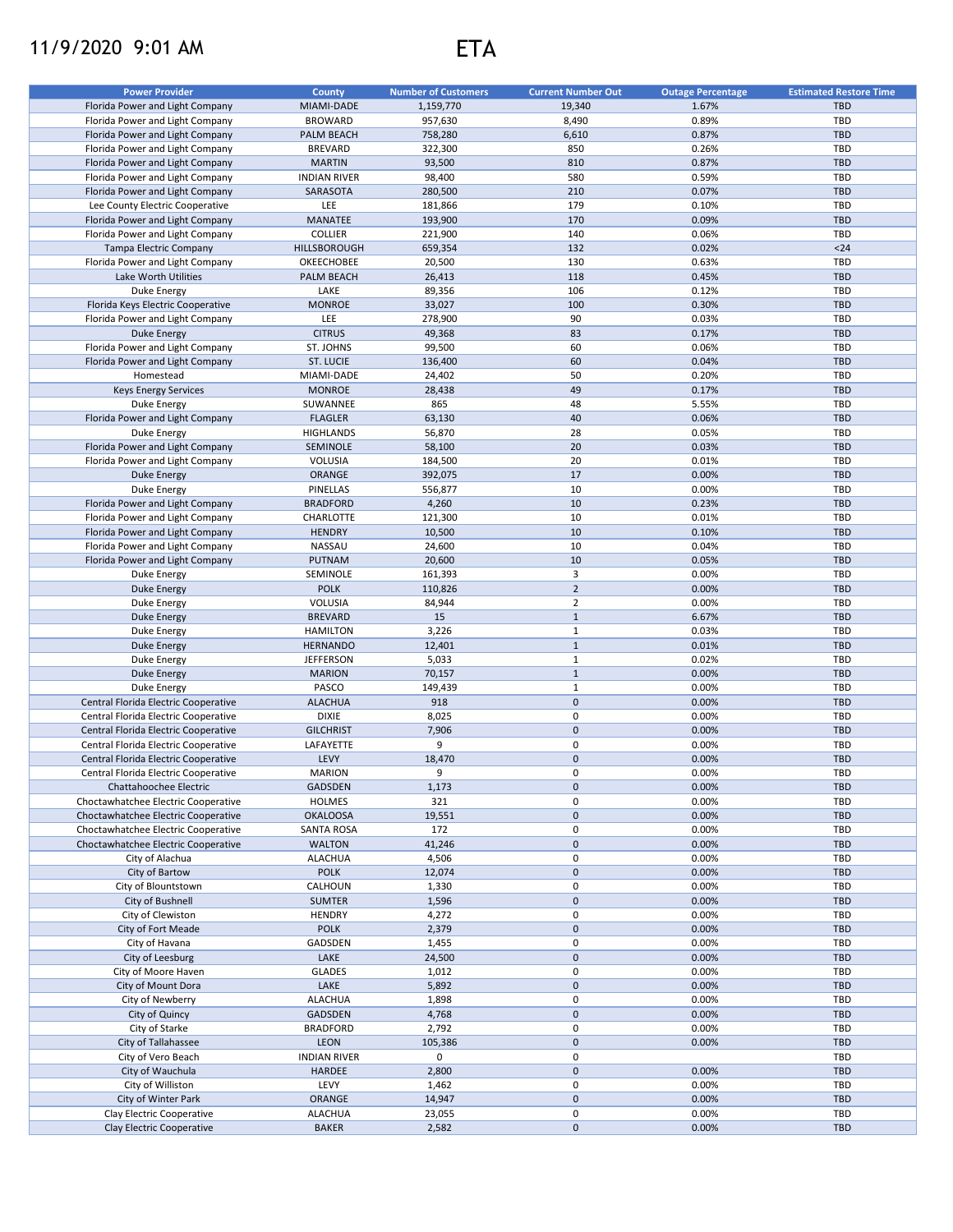## 11/9/2020 9:01 AM ETA

| <b>Power Provider</b>                | <b>County</b>       | <b>Number of Customers</b> | <b>Current Number Out</b> | <b>Outage Percentage</b> | <b>Estimated Restore Time</b> |
|--------------------------------------|---------------------|----------------------------|---------------------------|--------------------------|-------------------------------|
|                                      |                     |                            |                           |                          |                               |
| Florida Power and Light Company      | MIAMI-DADE          | 1,159,770                  | 19,340                    | 1.67%                    | <b>TBD</b>                    |
| Florida Power and Light Company      | <b>BROWARD</b>      | 957,630                    | 8,490                     | 0.89%                    | <b>TBD</b>                    |
| Florida Power and Light Company      | <b>PALM BEACH</b>   | 758,280                    | 6,610                     | 0.87%                    | <b>TBD</b>                    |
| Florida Power and Light Company      | <b>BREVARD</b>      | 322,300                    | 850                       | 0.26%                    | <b>TBD</b>                    |
| Florida Power and Light Company      | <b>MARTIN</b>       | 93,500                     | 810                       | 0.87%                    | <b>TBD</b>                    |
| Florida Power and Light Company      | <b>INDIAN RIVER</b> | 98,400                     | 580                       | 0.59%                    | TBD                           |
| Florida Power and Light Company      | SARASOTA            | 280,500                    | 210                       | 0.07%                    | <b>TBD</b>                    |
| Lee County Electric Cooperative      | LEE                 | 181,866                    | 179                       | 0.10%                    | <b>TBD</b>                    |
| Florida Power and Light Company      | MANATEE             | 193,900                    | 170                       | 0.09%                    | <b>TBD</b>                    |
| Florida Power and Light Company      | <b>COLLIER</b>      | 221,900                    | 140                       | 0.06%                    | TBD                           |
| Tampa Electric Company               | HILLSBOROUGH        | 659,354                    | 132                       | 0.02%                    | $24$                          |
| Florida Power and Light Company      | OKEECHOBEE          | 20,500                     | 130                       | 0.63%                    | <b>TBD</b>                    |
| Lake Worth Utilities                 | <b>PALM BEACH</b>   | 26,413                     | 118                       | 0.45%                    | <b>TBD</b>                    |
|                                      |                     |                            | 106                       |                          | <b>TBD</b>                    |
| Duke Energy                          | LAKE                | 89,356                     |                           | 0.12%                    |                               |
| Florida Keys Electric Cooperative    | <b>MONROE</b>       | 33,027                     | 100                       | 0.30%                    | <b>TBD</b>                    |
| Florida Power and Light Company      | <b>LEE</b>          | 278,900                    | 90                        | 0.03%                    | <b>TBD</b>                    |
| <b>Duke Energy</b>                   | <b>CITRUS</b>       | 49,368                     | 83                        | 0.17%                    | <b>TBD</b>                    |
| Florida Power and Light Company      | ST. JOHNS           | 99,500                     | 60                        | 0.06%                    | <b>TBD</b>                    |
| Florida Power and Light Company      | <b>ST. LUCIE</b>    | 136,400                    | 60                        | 0.04%                    | <b>TBD</b>                    |
| Homestead                            | MIAMI-DADE          | 24,402                     | 50                        | 0.20%                    | <b>TBD</b>                    |
| <b>Keys Energy Services</b>          | <b>MONROE</b>       | 28,438                     | 49                        | 0.17%                    | <b>TBD</b>                    |
| Duke Energy                          | SUWANNEE            | 865                        | 48                        | 5.55%                    | TBD                           |
| Florida Power and Light Company      | <b>FLAGLER</b>      | 63,130                     | 40                        | 0.06%                    | <b>TBD</b>                    |
| Duke Energy                          | <b>HIGHLANDS</b>    | 56,870                     | 28                        | 0.05%                    | <b>TBD</b>                    |
| Florida Power and Light Company      | SEMINOLE            | 58,100                     | 20                        | 0.03%                    | <b>TBD</b>                    |
|                                      | VOLUSIA             | 184,500                    | 20                        | 0.01%                    | TBD                           |
| Florida Power and Light Company      |                     |                            |                           |                          |                               |
| Duke Energy                          | ORANGE              | 392,075                    | 17                        | 0.00%                    | <b>TBD</b>                    |
| Duke Energy                          | PINELLAS            | 556,877                    | 10                        | 0.00%                    | TBD                           |
| Florida Power and Light Company      | <b>BRADFORD</b>     | 4,260                      | 10                        | 0.23%                    | <b>TBD</b>                    |
| Florida Power and Light Company      | CHARLOTTE           | 121,300                    | 10                        | 0.01%                    | <b>TBD</b>                    |
| Florida Power and Light Company      | <b>HENDRY</b>       | 10,500                     | 10                        | 0.10%                    | <b>TBD</b>                    |
| Florida Power and Light Company      | NASSAU              | 24,600                     | 10                        | 0.04%                    | TBD                           |
| Florida Power and Light Company      | PUTNAM              | 20,600                     | 10                        | 0.05%                    | <b>TBD</b>                    |
| Duke Energy                          | SEMINOLE            | 161,393                    | 3                         | 0.00%                    | <b>TBD</b>                    |
| <b>Duke Energy</b>                   | <b>POLK</b>         | 110,826                    | $\overline{2}$            | 0.00%                    | <b>TBD</b>                    |
| Duke Energy                          | VOLUSIA             | 84,944                     | $\overline{2}$            | 0.00%                    | TBD                           |
| Duke Energy                          | <b>BREVARD</b>      | 15                         | $\mathbf{1}$              | 6.67%                    | <b>TBD</b>                    |
| Duke Energy                          | <b>HAMILTON</b>     | 3,226                      | $\mathbf{1}$              | 0.03%                    | TBD                           |
|                                      | <b>HERNANDO</b>     |                            | $\mathbf{1}$              | 0.01%                    | <b>TBD</b>                    |
| Duke Energy                          |                     | 12,401                     |                           |                          |                               |
| Duke Energy                          | <b>JEFFERSON</b>    | 5,033                      | $\mathbf{1}$              | 0.02%                    | <b>TBD</b>                    |
| Duke Energy                          | <b>MARION</b>       | 70,157                     | $\mathbf{1}$              | 0.00%                    | <b>TBD</b>                    |
| Duke Energy                          | PASCO               | 149,439                    | $1\,$                     | 0.00%                    | <b>TBD</b>                    |
| Central Florida Electric Cooperative | <b>ALACHUA</b>      | 918                        | $\pmb{0}$                 | 0.00%                    | <b>TBD</b>                    |
| Central Florida Electric Cooperative | <b>DIXIE</b>        | 8,025                      | 0                         | 0.00%                    | <b>TBD</b>                    |
| Central Florida Electric Cooperative | <b>GILCHRIST</b>    | 7,906                      | $\mathbf 0$               | 0.00%                    | <b>TBD</b>                    |
| Central Florida Electric Cooperative | LAFAYETTE           | 9                          | 0                         | 0.00%                    | TBD                           |
| Central Florida Electric Cooperative | LEVY                | 18,470                     | $\pmb{0}$                 | 0.00%                    | <b>TBD</b>                    |
| Central Florida Electric Cooperative | <b>MARION</b>       | 9                          | $\mathbf 0$               | 0.00%                    | TBD                           |
| Chattahoochee Electric               | GADSDEN             | 1,173                      | $\pmb{0}$                 | 0.00%                    | <b>TBD</b>                    |
| Choctawhatchee Electric Cooperative  | HOLMES              | 321                        | 0                         | 0.00%                    | TBD                           |
| Choctawhatchee Electric Cooperative  | <b>OKALOOSA</b>     | 19,551                     | $\mathsf{O}\xspace$       | 0.00%                    | TBD                           |
| Choctawhatchee Electric Cooperative  | <b>SANTA ROSA</b>   | 172                        | 0                         | 0.00%                    | <b>TBD</b>                    |
| Choctawhatchee Electric Cooperative  | <b>WALTON</b>       | 41,246                     | $\pmb{0}$                 | 0.00%                    | <b>TBD</b>                    |
|                                      |                     |                            |                           |                          |                               |
| City of Alachua                      | ALACHUA             | 4,506                      | 0                         | 0.00%                    | TBD                           |
| City of Bartow                       | <b>POLK</b>         | 12,074                     | $\pmb{0}$                 | 0.00%                    | <b>TBD</b>                    |
| City of Blountstown                  | CALHOUN             | 1,330                      | $\pmb{0}$                 | 0.00%                    | TBD                           |
| City of Bushnell                     | <b>SUMTER</b>       | 1,596                      | $\pmb{0}$                 | 0.00%                    | TBD                           |
| City of Clewiston                    | <b>HENDRY</b>       | 4,272                      | $\pmb{0}$                 | 0.00%                    | TBD                           |
| City of Fort Meade                   | <b>POLK</b>         | 2,379                      | $\pmb{0}$                 | 0.00%                    | <b>TBD</b>                    |
| City of Havana                       | GADSDEN             | 1,455                      | $\pmb{0}$                 | 0.00%                    | TBD                           |
| City of Leesburg                     | LAKE                | 24,500                     | $\pmb{0}$                 | 0.00%                    | <b>TBD</b>                    |
| City of Moore Haven                  | <b>GLADES</b>       | 1,012                      | $\pmb{0}$                 | 0.00%                    | TBD                           |
| City of Mount Dora                   | LAKE                | 5,892                      | $\pmb{0}$                 | 0.00%                    | <b>TBD</b>                    |
| City of Newberry                     | <b>ALACHUA</b>      | 1,898                      | 0                         | 0.00%                    | <b>TBD</b>                    |
| City of Quincy                       | GADSDEN             | 4,768                      | $\pmb{0}$                 | 0.00%                    | <b>TBD</b>                    |
| City of Starke                       | <b>BRADFORD</b>     | 2,792                      | 0                         | 0.00%                    | <b>TBD</b>                    |
| City of Tallahassee                  | <b>LEON</b>         | 105,386                    | $\pmb{0}$                 | 0.00%                    | TBD                           |
|                                      |                     |                            | $\pmb{0}$                 |                          | <b>TBD</b>                    |
| City of Vero Beach                   | <b>INDIAN RIVER</b> | 0                          |                           |                          |                               |
| City of Wauchula                     | HARDEE              | 2,800                      | $\pmb{0}$                 | 0.00%                    | <b>TBD</b>                    |
| City of Williston                    | LEVY                | 1,462                      | 0                         | 0.00%                    | TBD                           |
| City of Winter Park                  | ORANGE              | 14,947                     | $\pmb{0}$                 | 0.00%                    | <b>TBD</b>                    |
| Clay Electric Cooperative            | <b>ALACHUA</b>      | 23,055                     | 0                         | 0.00%                    | TBD                           |
| Clay Electric Cooperative            | <b>BAKER</b>        | 2,582                      | $\mathsf{O}\xspace$       | 0.00%                    | <b>TBD</b>                    |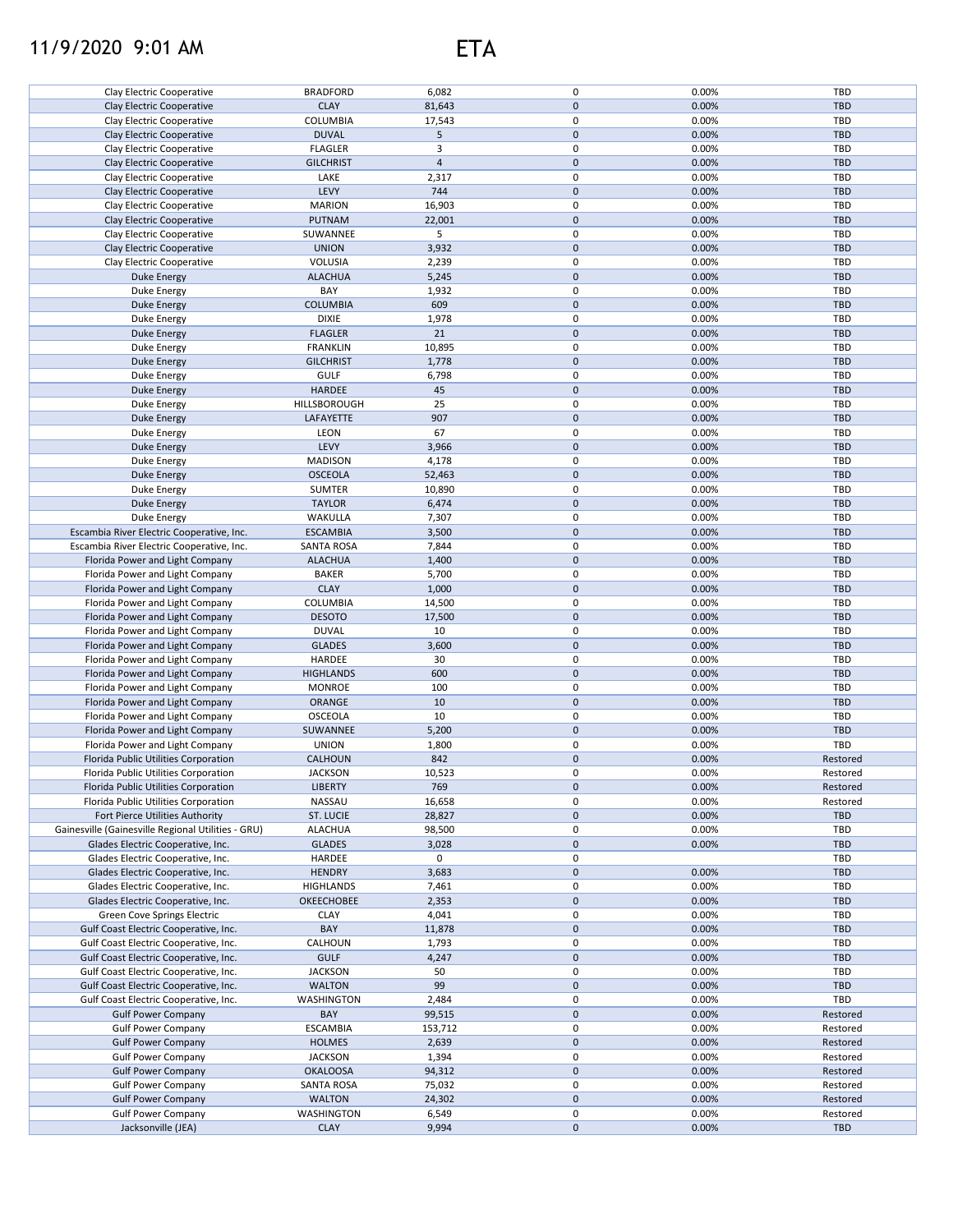## 11/9/2020 9:01 AM ETA

| Clay Electric Cooperative                          | <b>BRADFORD</b>           | 6,082          | 0           | 0.00%          | TBD             |
|----------------------------------------------------|---------------------------|----------------|-------------|----------------|-----------------|
| Clay Electric Cooperative                          | <b>CLAY</b>               | 81,643         | $\pmb{0}$   | 0.00%          | <b>TBD</b>      |
|                                                    |                           |                |             |                |                 |
| Clay Electric Cooperative                          | <b>COLUMBIA</b>           | 17,543         | 0           | 0.00%          | TBD             |
| Clay Electric Cooperative                          | <b>DUVAL</b>              | 5              | $\pmb{0}$   | 0.00%          | <b>TBD</b>      |
| Clay Electric Cooperative                          | <b>FLAGLER</b>            | 3              | 0           | 0.00%          | TBD             |
|                                                    |                           |                |             |                |                 |
| Clay Electric Cooperative                          | <b>GILCHRIST</b>          | $\overline{4}$ | $\mathbf 0$ | 0.00%          | <b>TBD</b>      |
| Clay Electric Cooperative                          | LAKE                      | 2,317          | 0           | 0.00%          | <b>TBD</b>      |
|                                                    |                           |                | $\mathbf 0$ |                |                 |
| Clay Electric Cooperative                          | LEVY                      | 744            |             | 0.00%          | TBD             |
| Clay Electric Cooperative                          | <b>MARION</b>             | 16,903         | 0           | 0.00%          | <b>TBD</b>      |
| Clay Electric Cooperative                          | PUTNAM                    | 22,001         | 0           | 0.00%          | <b>TBD</b>      |
|                                                    |                           |                |             |                |                 |
| Clay Electric Cooperative                          | SUWANNEE                  | 5              | 0           | 0.00%          | <b>TBD</b>      |
| Clay Electric Cooperative                          | <b>UNION</b>              | 3,932          | $\mathbf 0$ | 0.00%          | <b>TBD</b>      |
| Clay Electric Cooperative                          | VOLUSIA                   | 2,239          | 0           | 0.00%          | <b>TBD</b>      |
|                                                    |                           |                |             |                |                 |
| <b>Duke Energy</b>                                 | <b>ALACHUA</b>            | 5,245          | $\pmb{0}$   | 0.00%          | <b>TBD</b>      |
| Duke Energy                                        | BAY                       | 1,932          | 0           | 0.00%          | TBD             |
|                                                    | <b>COLUMBIA</b>           | 609            | 0           |                | <b>TBD</b>      |
| Duke Energy                                        |                           |                |             | 0.00%          |                 |
| Duke Energy                                        | <b>DIXIE</b>              | 1,978          | 0           | 0.00%          | TBD             |
| Duke Energy                                        | <b>FLAGLER</b>            | 21             | 0           | 0.00%          | <b>TBD</b>      |
|                                                    |                           |                |             |                |                 |
| Duke Energy                                        | <b>FRANKLIN</b>           | 10,895         | 0           | 0.00%          | <b>TBD</b>      |
| <b>Duke Energy</b>                                 | <b>GILCHRIST</b>          | 1,778          | $\pmb{0}$   | 0.00%          | <b>TBD</b>      |
| Duke Energy                                        | <b>GULF</b>               | 6,798          | 0           | 0.00%          | <b>TBD</b>      |
|                                                    |                           |                |             |                |                 |
| <b>Duke Energy</b>                                 | HARDEE                    | 45             | $\mathbf 0$ | 0.00%          | <b>TBD</b>      |
| Duke Energy                                        | HILLSBOROUGH              | 25             | 0           | 0.00%          | <b>TBD</b>      |
| <b>Duke Energy</b>                                 | LAFAYETTE                 | 907            | 0           | 0.00%          | <b>TBD</b>      |
|                                                    |                           |                |             |                |                 |
| Duke Energy                                        | <b>LEON</b>               | 67             | 0           | 0.00%          | TBD             |
| <b>Duke Energy</b>                                 | LEVY                      | 3,966          | $\pmb{0}$   | 0.00%          | <b>TBD</b>      |
|                                                    |                           |                | 0           | 0.00%          | TBD             |
| Duke Energy                                        | <b>MADISON</b>            | 4,178          |             |                |                 |
| <b>Duke Energy</b>                                 | <b>OSCEOLA</b>            | 52,463         | $\pmb{0}$   | 0.00%          | <b>TBD</b>      |
| Duke Energy                                        | <b>SUMTER</b>             | 10,890         | $\pmb{0}$   | 0.00%          | TBD             |
|                                                    |                           |                |             |                |                 |
| Duke Energy                                        | <b>TAYLOR</b>             | 6,474          | $\pmb{0}$   | 0.00%          | <b>TBD</b>      |
| Duke Energy                                        | WAKULLA                   | 7,307          | 0           | 0.00%          | TBD             |
| Escambia River Electric Cooperative, Inc.          | <b>ESCAMBIA</b>           | 3,500          | 0           | 0.00%          | <b>TBD</b>      |
|                                                    |                           |                |             |                |                 |
| Escambia River Electric Cooperative, Inc.          | <b>SANTA ROSA</b>         | 7,844          | 0           | 0.00%          | TBD             |
| Florida Power and Light Company                    | <b>ALACHUA</b>            | 1,400          | 0           | 0.00%          | <b>TBD</b>      |
| Florida Power and Light Company                    | <b>BAKER</b>              | 5,700          | 0           | 0.00%          | <b>TBD</b>      |
|                                                    |                           |                |             |                |                 |
| Florida Power and Light Company                    | <b>CLAY</b>               | 1,000          | $\pmb{0}$   | 0.00%          | <b>TBD</b>      |
| Florida Power and Light Company                    | COLUMBIA                  | 14,500         | 0           | 0.00%          | TBD             |
| Florida Power and Light Company                    | <b>DESOTO</b>             |                | 0           | 0.00%          | <b>TBD</b>      |
|                                                    |                           | 17,500         |             |                |                 |
| Florida Power and Light Company                    | <b>DUVAL</b>              | 10             | 0           | 0.00%          | <b>TBD</b>      |
| Florida Power and Light Company                    | <b>GLADES</b>             | 3,600          | 0           | 0.00%          | <b>TBD</b>      |
|                                                    |                           |                |             |                |                 |
| Florida Power and Light Company                    | <b>HARDEE</b>             | 30             | 0           | 0.00%          | TBD             |
| Florida Power and Light Company                    | <b>HIGHLANDS</b>          | 600            | 0           | 0.00%          | <b>TBD</b>      |
| Florida Power and Light Company                    | <b>MONROE</b>             | 100            | 0           | 0.00%          | TBD             |
|                                                    |                           |                |             |                |                 |
| Florida Power and Light Company                    | ORANGE                    | 10             | $\pmb{0}$   | 0.00%          | <b>TBD</b>      |
| Florida Power and Light Company                    | OSCEOLA                   | 10             | 0           | 0.00%          | TBD             |
| Florida Power and Light Company                    | SUWANNEE                  | 5,200          | $\mathbf 0$ | 0.00%          | <b>TBD</b>      |
|                                                    |                           |                |             |                |                 |
| Florida Power and Light Company                    | <b>UNION</b>              | 1,800          | 0           | 0.00%          | TBD             |
| Florida Public Utilities Corporation               | CALHOUN                   | 842            | $\mathbf 0$ | 0.00%          | Restored        |
| Florida Public Utilities Corporation               | <b>JACKSON</b>            | 10,523         | 0           | 0.00%          | Restored        |
|                                                    |                           |                |             |                |                 |
| Florida Public Utilities Corporation               | <b>LIBERTY</b>            | 769            | $\pmb{0}$   | 0.00%          | Restored        |
| Florida Public Utilities Corporation               | NASSAU                    | 16,658         | 0           | 0.00%          | Restored        |
| Fort Pierce Utilities Authority                    |                           |                | 0           | 0.00%          | TBD             |
|                                                    | ST. LUCIE                 | 28,827         |             |                |                 |
| Gainesville (Gainesville Regional Utilities - GRU) | <b>ALACHUA</b>            | 98,500         | 0           | 0.00%          | TBD             |
| Glades Electric Cooperative, Inc.                  | <b>GLADES</b>             | 3,028          | $\pmb{0}$   | 0.00%          | <b>TBD</b>      |
|                                                    |                           |                |             |                |                 |
| Glades Electric Cooperative, Inc.                  | HARDEE                    | 0              | 0           |                | TBD             |
| Glades Electric Cooperative, Inc.                  | <b>HENDRY</b>             | 3,683          | 0           | 0.00%          | <b>TBD</b>      |
| Glades Electric Cooperative, Inc.                  | <b>HIGHLANDS</b>          | 7,461          | 0           | 0.00%          | <b>TBD</b>      |
|                                                    |                           |                |             |                |                 |
| Glades Electric Cooperative, Inc.                  | OKEECHOBEE                | 2,353          | 0           | 0.00%          | <b>TBD</b>      |
| Green Cove Springs Electric                        | <b>CLAY</b>               | 4,041          | 0           | 0.00%          | <b>TBD</b>      |
| Gulf Coast Electric Cooperative, Inc.              | BAY                       | 11,878         | 0           | 0.00%          | <b>TBD</b>      |
|                                                    |                           |                |             |                |                 |
| Gulf Coast Electric Cooperative, Inc.              | CALHOUN                   | 1,793          | 0           | 0.00%          | <b>TBD</b>      |
| Gulf Coast Electric Cooperative, Inc.              | <b>GULF</b>               | 4,247          | 0           | 0.00%          | <b>TBD</b>      |
|                                                    |                           |                |             |                | <b>TBD</b>      |
| Gulf Coast Electric Cooperative, Inc.              | <b>JACKSON</b>            | 50             | 0           | 0.00%          |                 |
| Gulf Coast Electric Cooperative, Inc.              | <b>WALTON</b>             | 99             | 0           | 0.00%          | <b>TBD</b>      |
| Gulf Coast Electric Cooperative, Inc.              | WASHINGTON                | 2,484          | 0           | 0.00%          | TBD             |
|                                                    |                           |                |             |                |                 |
| <b>Gulf Power Company</b>                          | BAY                       | 99,515         | 0           | 0.00%          | Restored        |
| <b>Gulf Power Company</b>                          | <b>ESCAMBIA</b>           | 153,712        | 0           | 0.00%          | Restored        |
| <b>Gulf Power Company</b>                          | <b>HOLMES</b>             | 2,639          | 0           | 0.00%          | Restored        |
|                                                    |                           |                |             |                |                 |
| <b>Gulf Power Company</b>                          |                           | 1,394          | 0           | 0.00%          | Restored        |
|                                                    | <b>JACKSON</b>            |                |             |                |                 |
| <b>Gulf Power Company</b>                          | <b>OKALOOSA</b>           |                | $\pmb{0}$   | 0.00%          | Restored        |
|                                                    |                           | 94,312         |             |                |                 |
| <b>Gulf Power Company</b>                          | <b>SANTA ROSA</b>         | 75,032         | 0           | 0.00%          | Restored        |
| <b>Gulf Power Company</b>                          | <b>WALTON</b>             | 24,302         | 0           | 0.00%          | Restored        |
|                                                    |                           |                |             |                |                 |
| <b>Gulf Power Company</b><br>Jacksonville (JEA)    | WASHINGTON<br><b>CLAY</b> | 6,549<br>9,994 | 0<br>0      | 0.00%<br>0.00% | Restored<br>TBD |